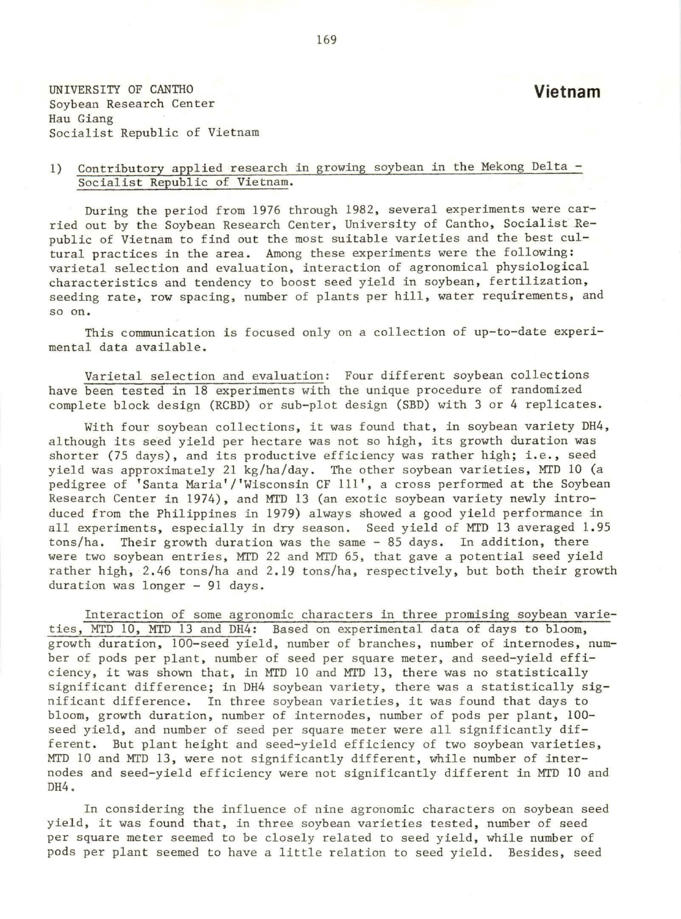UNIVERSITY OF CANTHO Soybean Research Center Hau Giang Socialist Republic of Vietnam

## I) Contributory applied research in growing soybean in the Mekong Delta - Socialist Republic of Vietnam.

During the period from 1976 through 1982, several experiments were carried out by the Soybean Research Center, University of Cantho, Socialist *Re*public of Vietnam to find out the most suitable varieties and the best cultural practices in the area. Among these experiments were the following: varietal selection and evaluation, interaction of agronomical physiological characteristics and tendency to boost seed yield in soybean, fertilization, seeding rate, row spacing, number of plants per hill, water requirements, and so on.

This communication is focused only on a collection of up-to-date experimental data available.

Varietal selection and evaluation: Four different soybean collections have been tested in 18 experiments with the unique procedure of randomized complete block design (RCBD) or sub-plot design (SBD) with 3 or 4 replicates.

With four soybean collections, it was found that, in soybean variety DH4, although its seed yield per hectare was not so high, its growth duration was shorter (75 days), and its productive efficiency was rather high; i.e., seed yield was approximately 21 kg/ha/day. The other soybean varieties, MTD 10 (a pedigree of 'Santa Maria'/'Wisconsin CF 111', a cross performed at the Soybean Research Center in 1974), and MTD 13 (an exotic soybean variety newly introduced from the Philippines in 1979) always showed a good yield performance in all experiments, especially in dry season. Seed yield of MTD 13 averaged 1. <sup>95</sup> tons/ha. Their growth duration was the same - 85 days. In addition, there were two soybean entries, MTD 22 and MTD 65, that gave a potential seed yield rather high, 2 .46 tons/ha and 2.19 tons/ha, respectively, but both their growth duration was longer - 91 days.

Interaction of some agronomic characters in three promising soybean varieties, MTD 10, MTD 13 and DH4: Based on experimental data of days to bloom, growth duration, 100-seed yield, number of branches, number of internodes, number of pods per plant, number of seed per square meter, and seed-yield efficiency, it was shown that, in MTD 10 and MTD 13, there was no statistically significant difference; in DH4 soybean variety, there was a statistically significant difference. In three soybean varieties, it was found that days to bloom, growth duration, number of internodes, number of pods per plant, 100 seed yield, and number of seed per square meter were all significantly different. But plant height and seed-yield efficiency of two soybean varieties, MTD 10 and MTD 13, were not significantly different, while number of internodes and seed-yield efficiency were not significantly different in MTD 10 and DH4.

In considering the influence of nine agronomic characters on soybean seed yield, it was found that, in three soybean varieties tested, number of seed per square meter seemed to be closely related to seed yield, while number of pods per plant seemed to have a little relation to seed yield. Besides, seed